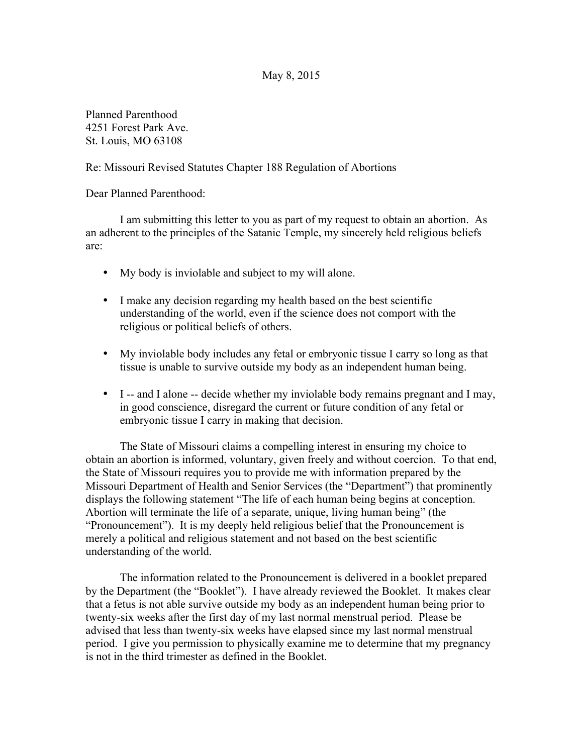## May 8, 2015

Planned Parenthood 4251 Forest Park Ave. St. Louis, MO 63108

## Re: Missouri Revised Statutes Chapter 188 Regulation of Abortions

Dear Planned Parenthood:

I am submitting this letter to you as part of my request to obtain an abortion. As an adherent to the principles of the Satanic Temple, my sincerely held religious beliefs are:

- My body is inviolable and subject to my will alone.
- I make any decision regarding my health based on the best scientific understanding of the world, even if the science does not comport with the religious or political beliefs of others.
- My inviolable body includes any fetal or embryonic tissue I carry so long as that tissue is unable to survive outside my body as an independent human being.
- I -- and I alone -- decide whether my inviolable body remains pregnant and I may, in good conscience, disregard the current or future condition of any fetal or embryonic tissue I carry in making that decision.

The State of Missouri claims a compelling interest in ensuring my choice to obtain an abortion is informed, voluntary, given freely and without coercion. To that end, the State of Missouri requires you to provide me with information prepared by the Missouri Department of Health and Senior Services (the "Department") that prominently displays the following statement "The life of each human being begins at conception. Abortion will terminate the life of a separate, unique, living human being" (the "Pronouncement"). It is my deeply held religious belief that the Pronouncement is merely a political and religious statement and not based on the best scientific understanding of the world.

The information related to the Pronouncement is delivered in a booklet prepared by the Department (the "Booklet"). I have already reviewed the Booklet. It makes clear that a fetus is not able survive outside my body as an independent human being prior to twenty-six weeks after the first day of my last normal menstrual period. Please be advised that less than twenty-six weeks have elapsed since my last normal menstrual period. I give you permission to physically examine me to determine that my pregnancy is not in the third trimester as defined in the Booklet.